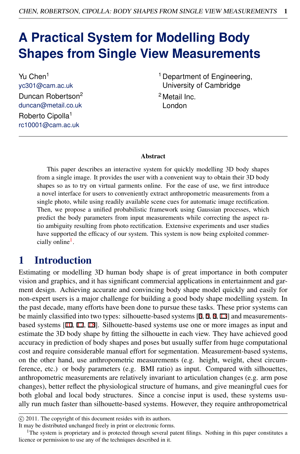# **A Practical System for Modelling Body Shapes from Single View Measurements**

Yu Chen<sup>1</sup> yc301@cam.ac.uk Duncan Robertson<sup>2</sup> duncan@metail.co.uk Roberto Cipolla<sup>1</sup> rc10001@cam.ac.uk

<sup>1</sup> Department of Engineering, University of Cambridge

<sup>2</sup> Metail Inc. London

#### Abstract

This paper describes an interactive system for quickly modelling 3D body shapes from a single image. It provides the user with a convenient way to obtain their 3D body shapes so as to try on virtual garments online. For the ease of use, we first introduce a novel interface for users to conveniently extract anthropometric measurements from a single photo, while using readily available scene cues for automatic image rectification. Then, we propose a unified probabilistic framework using Gaussian processes, which predict the body parameters from input measurements while correcting the aspect ratio ambiguity resulting from photo rectification. Extensive experiments and user studies have supported the efficacy of our system. This system is now being exploited commercially online<sup>1</sup>.

### 1 Introduction

Estimating or modelling 3D human body shape is of great importance in both computer vision and graphics, and it has significant commercial applications in entertainment and garment design. Achieving accurate and convincing body shape model quickly and easily for non-expert users is a major challenge for building a good body shape modelling system. In the past decade, many efforts have been done to pursue these tasks. These prior systems can be mainly classified into two types: silhouette-based systems [3, 5, 8, 13] and measurementsbased systems [10, 17, 18]. Silhouette-based systems use one or more images as input and estimate the 3D body shape by fitting the silhouette in each view. They have achieved good accuracy in prediction of body shapes and poses but usually suffer from huge computational cost and require considerable manual effort for segmentation. Measurement-based systems, on the other hand, use anthropometric measurements (e.g. height, weight, chest circumference, etc.) or body parameters (e.g. BMI ratio) as input. Compared with silhouettes, anthropometric measurements are relatively invariant to articulation changes (e.g. arm pose changes), better reflect the physiological structure of humans, and give meaningful cues for both global and local body structures. Since a concise input is used, these systems usually run much faster than silhouette-based systems. However, they require anthropometrical

c 2011. The copyright of this document resides with its authors.

It may be distributed unchanged freely in print or electronic forms.

<sup>&</sup>lt;sup>1</sup>The system is proprietary and is protected through several patent filings. Nothing in this paper constitutes a licence or permission to use any of the techniques described in it.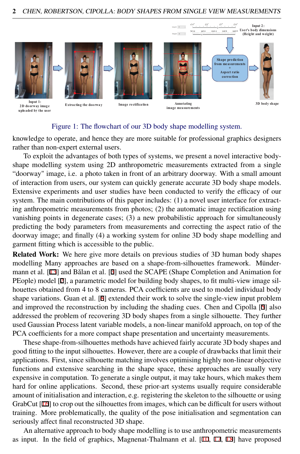

#### Figure 1: The flowchart of our 3D body shape modelling system.

knowledge to operate, and hence they are more suitable for professional graphics designers rather than non-expert external users.

To exploit the advantages of both types of systems, we present a novel interactive bodyshape modelling system using 2D anthropometric measurements extracted from a single "doorway" image, i.e. a photo taken in front of an arbitrary doorway. With a small amount of interaction from users, our system can quickly generate accurate 3D body shape models. Extensive experiments and user studies have been conducted to verify the efficacy of our system. The main contributions of this paper includes: (1) a novel user interface for extracting anthropometric measurements from photos; (2) the automatic image rectification using vanishing points in degenerate cases; (3) a new probabilistic approach for simultaneously predicting the body parameters from measurements and correcting the aspect ratio of the doorway image; and finally (4) a working system for online 3D body shape modelling and garment fitting which is accessible to the public.

Related Work: We here give more details on previous studies of 3D human body shapes modelling Many approaches are based on a shape-from-silhouettes framework. Mündermann et al.  $[13]$  and Balan et al.  $[3]$  used the SCAPE (Shape Completion and Animation for PEople) model [2], a parametric model for building body shapes, to fit multi-view image silhouettes obtained from 4 to 8 cameras. PCA coefficients are used to model individual body shape variations. Guan et al. [8] extended their work to solve the single-view input problem and improved the reconstruction by including the shading cues. Chen and Cipolla [5] also addressed the problem of recovering 3D body shapes from a single silhouette. They further used Gaussian Process latent variable models, a non-linear manifold approach, on top of the PCA coefficients for a more compact shape presentation and uncertainty measurements.

These shape-from-silhouettes methods have achieved fairly accurate 3D body shapes and good fitting to the input silhouettes. However, there are a couple of drawbacks that limit their applications. First, since silhouette matching involves optimising highly non-linear objective functions and extensive searching in the shape space, these approaches are usually very expensive in computation. To generate a single output, it may take hours, which makes them hard for online applications. Second, these prior-art systems usually require considerable amount of initialisation and interaction, e.g. registering the skeleton to the silhouette or using GrabCut [16] to crop out the silhouettes from images, which can be difficult for users without training. More problematically, the quality of the pose initialisation and segmentation can seriously affect final reconstructed 3D shape.

An alternative approach to body shape modelling is to use anthropometric measurements as input. In the field of graphics, Magnenat-Thalmann et al. [10, 17, 18] have proposed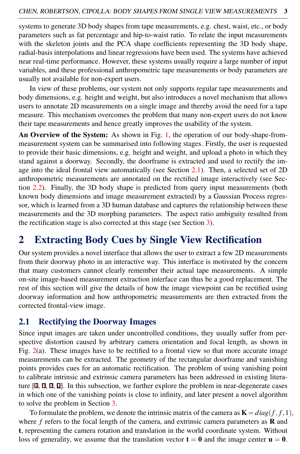systems to generate 3D body shapes from tape measurements, e.g. chest, waist, etc., or body parameters such as fat percentage and hip-to-waist ratio. To relate the input measurements with the skeleton joints and the PCA shape coefficients representing the 3D body shape, radial-basis interpolations and linear regressions have been used. The systems have achieved near real-time performance. However, these systems usually require a large number of input variables, and these professional anthropometric tape measurements or body parameters are usually not available for non-expert users.

In view of these problems, our system not only supports regular tape measurements and body dimensions, e.g. height and weight, but also introduces a novel mechanism that allows users to annotate 2D measurements on a single image and thereby avoid the need for a tape measure. This mechanism overcomes the problem that many non-expert users do not know their tape measurements and hence greatly improves the usability of the system.

An Overview of the System: As shown in Fig. 1, the operation of our body-shape-frommeasurement system can be summarised into following stages. Firstly, the user is requested to provide their basic dimensions, e.g. height and weight, and upload a photo in which they stand against a doorway. Secondly, the doorframe is extracted and used to rectify the image into the ideal frontal view automatically (see Section 2.1). Then, a selected set of 2D anthropometric measurements are annotated on the rectified image interactively (see Section 2.2). Finally, the 3D body shape is predicted from query input measurements (both known body dimensions and image measurement extracted) by a Gaussian Process regressor, which is learned from a 3D human database and captures the relationship between these measurements and the 3D morphing parameters. The aspect ratio ambiguity resulted from the rectification stage is also corrected at this stage (see Section 3).

# 2 Extracting Body Cues by Single View Rectification

Our system provides a novel interface that allows the user to extract a few 2D measurements from their doorway photo in an interactive way. This interface is motivated by the concern that many customers cannot clearly remember their actual tape measurements. A simple on-site image-based measurement extraction interface can thus be a good replacement. The rest of this section will give the details of how the image viewpoint can be rectified using doorway information and how anthropometric measurements are then extracted from the corrected frontal-view image.

#### 2.1 Rectifying the Doorway Images

Since input images are taken under uncontrolled conditions, they usually suffer from perspective distortion caused by arbitrary camera orientation and focal length, as shown in Fig. 2(a). These images have to be rectified to a frontal view so that more accurate image measurements can be extracted. The geometry of the rectangular doorframe and vanishing points provides cues for an automatic rectification. The problem of using vanishing point to calibrate intrinsic and extrinsic camera parameters has been addressed in existing literature  $[4, 6, 7, 9]$ . In this subsection, we further explore the problem in near-degenerate cases in which one of the vanishing points is close to infinity, and later present a novel algorithm to solve the problem in Section 3.

To formulate the problem, we denote the intrinsic matrix of the camera as  $\mathbf{K} = diag(f, f, 1)$ , where  $f$  refers to the focal length of the camera, and extrinsic camera parameters as  **and** t, representing the camera rotation and translation in the world coordinate system. Without loss of generality, we assume that the translation vector  $t = 0$  and the image center  $u = 0$ .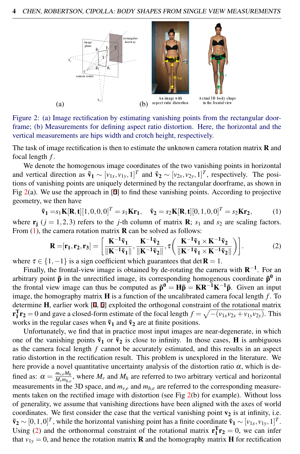

Figure 2: (a) Image rectification by estimating vanishing points from the rectangular doorframe; (b) Measurements for defining aspect ratio distortion. Here, the horizontal and the vertical measurements are hips width and crotch height, respectively.

The task of image rectification is then to estimate the unknown camera rotation matrix **R** and focal length *f* .

We denote the homogenous image coordinates of the two vanishing points in horizontal and vertical direction as  $\tilde{v}_1 \sim [v_{1x}, v_{1y}, 1]^T$  and  $\tilde{v}_2 \sim [v_{2x}, v_{2y}, 1]^T$ , respectively. The positions of vanishing points are uniquely determined by the rectangular doorframe, as shown in Fig  $2(a)$ . We use the approach in  $[6]$  to find these vanishing points. According to projective geometry, we then have

$$
\tilde{\mathbf{v}}_1 = s_1 \mathbf{K}[\mathbf{R}, \mathbf{t}][1, 0, 0, 0]^T = s_1 \mathbf{K} \mathbf{r}_1, \quad \tilde{\mathbf{v}}_2 = s_2 \mathbf{K}[\mathbf{R}, \mathbf{t}][0, 1, 0, 0]^T = s_2 \mathbf{K} \mathbf{r}_2,
$$
 (1)

where  $\mathbf{r}_i$  ( $j = 1,2,3$ ) refers to the *j*-th column of matrix **R**;  $s_1$  and  $s_2$  are scaling factors. From  $(1)$ , the camera rotation matrix **R** can be solved as follows:

$$
\mathbf{R} = [\mathbf{r}_1, \mathbf{r}_2, \mathbf{r}_3] = \left[ \frac{\mathbf{K}^{-1} \tilde{\mathbf{v}}_1}{\|\mathbf{K}^{-1} \tilde{\mathbf{v}}_1\|}, \frac{\mathbf{K}^{-1} \tilde{\mathbf{v}}_2}{\|\mathbf{K}^{-1} \tilde{\mathbf{v}}_2\|}, \tau \left( \frac{\mathbf{K}^{-1} \tilde{\mathbf{v}}_1 \times \mathbf{K}^{-1} \tilde{\mathbf{v}}_2}{\|\mathbf{K}^{-1} \tilde{\mathbf{v}}_1 \times \mathbf{K}^{-1} \tilde{\mathbf{v}}_2\|} \right) \right].
$$
 (2)

where  $\tau \in \{1, -1\}$  is a sign coefficient which guarantees that det **R** = 1.

Finally, the frontal-view image is obtained by de-rotating the camera with  $\mathbb{R}^{-1}$ . For an arbitrary point  $\tilde{p}$  in the unrectified image, its corresponding homogenous coordinate  $\tilde{p}^0$  in the frontal view image can thus be computed as  $\tilde{p}^0 = H\tilde{p} = KR^{-1}K^{-1}\tilde{p}$ . Given an input image, the homography matrix  $\bf{H}$  is a function of the uncalibrated camera focal length  $f$ . To determine H, earlier work [4, 6] exploited the orthogonal constraint of the rotational matrix  $\mathbf{r}_1^T \mathbf{r}_2 = 0$  and gave a closed-form estimate of the focal length  $f = \sqrt{-(\nu_{1x}\nu_{2x} + \nu_{1y}\nu_{2y})}$ . This works in the regular cases when  $\tilde{v}_1$  and  $\tilde{v}_2$  are at finite positions.

Unfortunately, we find that in practice most input images are near-degenerate, in which one of the vanishing points  $\tilde{v}_1$  or  $\tilde{v}_2$  is close to infinity. In those cases, **H** is ambiguous as the camera focal length *f* cannot be accurately estimated, and this results in an aspect ratio distortion in the rectification result. This problem is unexplored in the literature. We here provide a novel quantitative uncertainty analysis of the distortion ratio  $\alpha$ , which is defined as:  $\alpha = \frac{m_{v,e}M_h}{M_v m_{h,e}}$  $\frac{m_{v,e} \mu u_h}{M_v m_{h,e}}$ , where  $M_v$  and  $M_h$  are referred to two arbitrary vertical and horizontal measurements in the 3D space, and  $m_{v,e}$  and  $m_{h,e}$  are referred to the corresponding measurements taken on the rectified image with distortion (see Fig 2(b) for example). Without loss of generality, we assume that vanishing directions have been aligned with the axes of world coordinates. We first consider the case that the vertical vanishing point  $v_2$  is at infinity, i.e.  $\tilde{\mathbf{v}}_2 \sim [0, 1, 0]^T$ , while the horizontal vanishing point has a finite coordinate  $\tilde{\mathbf{v}}_1 \sim [\nu_{1x}, \nu_{1y}, 1]^T$ . Using (2) and the orthonormal constraint of the rotational matrix  $\mathbf{r}_1^T \mathbf{r}_2 = 0$ , we can infer that  $v_{1y} = 0$ , and hence the rotation matrix **R** and the homography matrix **H** for rectification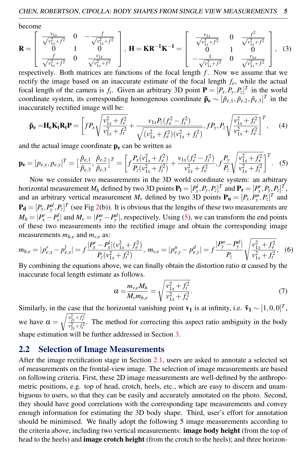become

$$
\mathbf{R} = \begin{bmatrix} \frac{v_{1x}}{\sqrt{v_{1x}^2 + f^2}} & 0 & -\frac{f}{\sqrt{v_{1x}^2 + f^2}} \\ 0 & 1 & 0 \\ \frac{f}{\sqrt{v_{1x}^2 + f^2}} & 0 & \frac{v_{1x}}{\sqrt{v_{1x}^2 + f^2}} \end{bmatrix}, \ \mathbf{H} = \mathbf{K} \mathbf{R}^{-1} \mathbf{K}^{-1} = \begin{bmatrix} \frac{v_{1x}}{\sqrt{v_{1x}^2 + f^2}} & 0 & \frac{f^2}{\sqrt{v_{1x}^2 + f^2}} \\ 0 & 1 & 0 \\ -\frac{1}{\sqrt{v_{1x}^2 + f^2}} & 0 & \frac{v_{1x}}{\sqrt{v_{1x}^2 + f^2}} \end{bmatrix}, \ (3)
$$

respectively. Both matrices are functions of the focal length *f*. Now we assume that we rectify the image based on an inaccurate estimate of the focal length *fe*, while the actual focal length of the camera is  $f_t$ . Given an arbitrary 3D point  $\mathbf{P} = [P_x, P_y, P_z]^T$  in the world coordinate system, its corresponding homogenous coordinate  $\tilde{\mathbf{p}}_e \sim [\tilde{p}_{e,1}, \tilde{p}_{e,2}, \tilde{p}_{e,3}]^T$  in the inaccurately rectified image will be:

$$
\tilde{\mathbf{p}}_{\mathbf{e}} = \mathbf{H}_{\mathbf{e}} \mathbf{K}_{\mathbf{t}} \mathbf{R}_{\mathbf{t}} \mathbf{P} = \left[ f P_x \sqrt{\frac{v_{1x}^2 + f_e^2}{v_{1x}^2 + f_t^2}} + \frac{v_{1x} P_z (f_e^2 - f_t^2)}{\sqrt{(v_{1x}^2 + f_e^2)(v_{1x}^2 + f_t^2)}}, f P_y, P_z \sqrt{\frac{v_{1x}^2 + f_t^2}{v_{1x}^2 + f_e^2}} \right]^T, \quad (4)
$$

and the actual image coordinate  $p_e$  can be written as

$$
\mathbf{p}_{\mathbf{e}} = [p_{e,x}, p_{e,y}]^T = \left[\frac{\tilde{p}_{e,1}}{\tilde{p}_{e,3}}, \frac{\tilde{p}_{e,2}}{\tilde{p}_{e,3}}\right]^T = \left[f\frac{P_x(v_{1x}^2 + f_e^2)}{P_z(v_{1x}^2 + f_t^2)} + \frac{v_{1x}(f_e^2 - f_t^2)}{v_{1x}^2 + f_e^2}, f\frac{P_y}{P_z}\sqrt{\frac{v_{1x}^2 + f_e^2}{v_{1x}^2 + f_t^2}}\right]^T.
$$
 (5)

Now we consider two measurements in the 3D world coordinate system: an arbitrary horizontal measurement  $M_h$  defined by two 3D points  $\mathbf{P}_1 = [P_x^l, P_y, P_z]^T$  and  $\mathbf{P}_r = [P_x^r, P_y, P_z]^T$ , and an arbitrary vertical measurement  $M_\nu$  defined by two 3D points  $P_\mathbf{u} = [P_x, P_y^u, P_z]^T$  and  $P_d = [P_x, P_y^d, P_z]^T$  (see Fig 2(b)). It is obvious that the lengths of these two measurements are  $M_h = |P_x^r - P_x^l|$  and  $M_v = |P_y^u - P_y^d|$ , respectively. Using (5), we can transform the end points of these two measurements into the rectified image and obtain the corresponding image measurements  $m_{h,e}$  and  $m_{v,e}$  as:

$$
m_{h,e} = |p_{e,x}^r - p_{e,x}^l| = f \frac{|P_x^r - P_x^l|(v_{1x}^2 + f_e^2)}{P_z(v_{1x}^2 + f_t^2)}, \ m_{v,e} = |p_{e,y}^u - p_{e,y}^d| = f \frac{|P_y^u - P_y^d|}{P_z} \sqrt{\frac{v_{1x}^2 + f_e^2}{v_{1x}^2 + f_t^2}}, \tag{6}
$$

By combining the equations above, we can finally obtain the distortion ratio  $\alpha$  caused by the inaccurate focal length estimate as follows.

$$
\alpha = \frac{m_{v,e}M_h}{M_v m_{h,e}} = \sqrt{\frac{v_{1x}^2 + f_t^2}{v_{1x}^2 + f_e^2}}.
$$
\n(7)

Similarly, in the case that the horizontal vanishing point  $\mathbf{v}_1$  is at infinity, i.e.  $\tilde{\mathbf{v}}_1 \sim [1,0,0]^T$ , we have  $\alpha = \sqrt{\frac{v_{2y}^2 + f_e^2}{v_{2x}^2 + f_e^2}}$  $v_{2y}^{2y+7e}$ . The method for correcting this aspect ratio ambiguity in the body shape estimation will be further addressed in Section 3.

#### 2.2 Selection of Image Measurements

After the image rectification stage in Section 2.1, users are asked to annotate a selected set of measurements on the frontal-view image. The selection of image measurements are based on following criteria. First, these 2D image measurements are well-defined by the anthropometric positions, e.g. top of head, crotch, heels, etc., which are easy to discern and unambiguous to users, so that they can be easily and accurately annotated on the photo. Second, they should have good correlations with the corresponding tape measurements and convey enough information for estimating the 3D body shape. Third, user's effort for annotation should be minimised. We finally adopt the following 5 image measurements according to the criteria above, including two vertical measurements: **image body height** (from the top of head to the heels) and **image crotch height** (from the crotch to the heels); and three horizon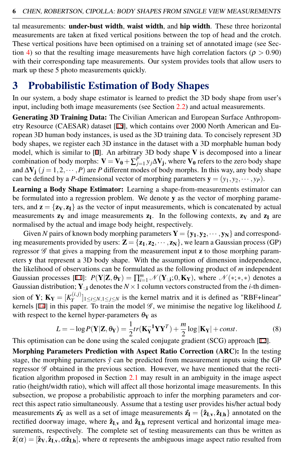tal measurements: under-bust width, waist width, and hip width. These three horizontal measurements are taken at fixed vertical positions between the top of head and the crotch. These vertical positions have been optimised on a training set of annotated image (see Section 4) so that the resulting image measurements have high correlation factors ( $\rho > 0.90$ ) with their corresponding tape measurements. Our system provides tools that allow users to mark up these 5 photo measurements quickly.

## 3 Probabilistic Estimation of Body Shapes

In our system, a body shape estimator is learned to predict the 3D body shape from user's input, including both image measurements (see Section 2.2) and actual measurements.

Generating 3D Training Data: The Civilian American and European Surface Anthropometry Resource (CAESAR) dataset [15], which contains over 2000 North American and European 3D human body instances, is used as the 3D training data. To concisely represent 3D body shapes, we register each 3D instance in the dataset with a 3D morphable human body model, which is similar to [1]. An arbitrary 3D body shape V is decomposed into a linear combination of body morphs:  ${\bf V}={\bf V_0}+\sum_{j=1}^P y_j\Delta {\bf V_j},$  where  ${\bf V_0}$  refers to the zero body shape and  $\Delta V_i$  (*j* = 1,2, ···, *P*) are *P* different modes of body morphs. In this way, any body shape can be defined by a *P*-dimensional vector of morphing parameters  $y = (y_1, y_2, \dots, y_p)$ .

Learning a Body Shape Estimator: Learning a shape-from-measurements estimator can be formulated into a regression problem. We denote y as the vector of morphing parameters, and  $z = {z_V, z_I}$  as the vector of input measurements, which is concatenated by actual measurements  $z_V$  and image measurements  $z_I$ . In the following contexts,  $z_V$  and  $z_I$  are normalised by the actual and image body height, respectively.

Given *N* pairs of known body morphing parameters  $\mathbf{Y} = \{y_1, y_2, \dots, y_N\}$  and corresponding measurements provided by users:  $\mathbf{Z} = {\mathbf{z_1}, \mathbf{z_2}, \cdots, \mathbf{z_N}}$ , we learn a Gaussian process (GP) regressor  $\mathscr G$  that gives a mapping from the measurement input **z** to those morphing parameters y that represent a 3D body shape. With the assumption of dimension independence, the likelihood of observations can be formulated as the following product of *m* independent Gaussian processes [11]:  $P(Y|Z, \theta_Y) = \prod_{i=1}^m \mathcal{N}(Y_{:,i}; 0, K_Y)$ , where  $\mathcal{N}(*;*,*)$  denotes a Gaussian distribution;  $Y_{:,i}$  denotes the  $N \times 1$  column vectors constructed from the *i*-th dimension of **Y**;  $\mathbf{K_Y} = [K_Y^{(i,j)}]$  $\{Y^{(i,j)}\}_{1 \leq i \leq N, 1 \leq j \leq N}$  is the kernel matrix and it is defined as "RBF+linear" kernels  $[14]$  in this paper. To train the model  $\mathscr{G}$ , we minimise the negative log likelihood *L* with respect to the kernel hyper-parameters  $\theta_Y$  as

$$
L = -\log P(\mathbf{Y}|\mathbf{Z}, \theta_{\mathbf{Y}}) = \frac{1}{2}tr(\mathbf{K}_{\mathbf{Y}}^{-1}\mathbf{Y}\mathbf{Y}^{T}) + \frac{m}{2}\log|\mathbf{K}_{\mathbf{Y}}| + const.
$$
 (8)

This optimisation can be done using the scaled conjugate gradient (SCG) approach [12].

Morphing Parameters Prediction with Aspect Ratio Correction (ARC): In the testing stage, the morphing parameters  $\hat{y}$  can be predicted from measurement inputs using the GP regressor  $G$  obtained in the previous section. However, we have mentioned that the rectification algorithm proposed in Section 2.1 may result in an ambiguity in the image aspect ratio (height/width ratio), which will affect all those horizontal image measurements. In this subsection, we propose a probabilistic approach to infer the morphing parameters and correct this aspect ratio simultaneously. Assume that a testing user provides his/her actual body measurements  $\hat{z_V}$  as well as a set of image measurements  $\hat{z_I} = {\hat{z}_{I,v}, \hat{z}_{I,h}}$  annotated on the rectified doorway image, where  $\hat{z}_{I,v}$  and  $\hat{z}_{I,h}$  represent vertical and horizontal image measurements, respectively. The complete set of testing measurements can thus be written as  $\hat{\mathbf{z}}(\alpha) = [\hat{\mathbf{z}}_V, \hat{\mathbf{z}}_{I,V}, \alpha \hat{\mathbf{z}}_{I,h}]$ , where  $\alpha$  represents the ambiguous image aspect ratio resulted from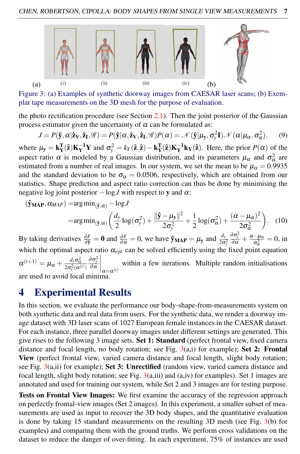

Figure 3: (a) Examples of synthetic doorway images from CAESAR laser scans; (b) Exemplar tape measurements on the 3D mesh for the purpose of evaluation.

the photo rectification procedure (see Section  $2.1$ ). Then the joint posterior of the Gaussian process estimator given the uncertainty of  $\alpha$  can be formulated as:

$$
J = P(\hat{\mathbf{y}}, \alpha | \hat{\mathbf{z}}_V, \hat{\mathbf{z}}_I, \mathscr{G}) = P(\hat{\mathbf{y}} | \alpha, \hat{\mathbf{z}}_V, \hat{\mathbf{z}}_I, \mathscr{G}) P(\alpha) = \mathscr{N}(\hat{\mathbf{y}} | \mu_{\mathbf{y}}, \sigma_{\mathbf{y}}^2 \mathbf{I}) \mathscr{N}(\alpha | \mu_{\alpha}, \sigma_{\alpha}^2).
$$
 (9)

where  $\mu_{\mathbf{y}} = \mathbf{k}_{\mathbf{Y}}^{\mathrm{T}}(\hat{\mathbf{z}}) \mathbf{K}_{\mathbf{Y}}^{-1} \mathbf{Y}$  and  $\sigma_{\mathbf{y}}^2 = k_{\mathbf{Y}}(\hat{\mathbf{z}}, \hat{\mathbf{z}}) - \mathbf{k}_{\mathbf{Y}}^{\mathrm{T}}(\hat{\mathbf{z}}) \mathbf{K}_{\mathbf{Y}}^{-1} \mathbf{k}_{\mathbf{Y}}(\hat{\mathbf{z}})$ . Here, the prior  $P(\alpha)$  of the aspect ratio  $\alpha$  is modeled by a Gaussian distribution, and its parameters  $\mu_{\alpha}$  and  $\sigma_{\alpha}^2$  are estimated from a number of real images. In our system, we set the mean to be  $\mu_{\alpha} = 0.9935$ and the standard deviation to be  $\sigma_{\alpha} = 0.0506$ , respectively, which are obtained from our statistics. Shape prediction and aspect ratio correction can thus be done by minimising the negative log joint posterior  $-\log J$  with respect to y and  $\alpha$ :

$$
(\mathbf{\hat{y}_{MAP}}, \alpha_{MAP}) = \arg\min_{(\mathbf{\hat{y}}, \alpha)} - \log J
$$

$$
=arg\min_{(\hat{\mathbf{y}},\alpha)} \left( \frac{d_{\mathbf{y}}}{2} \log(\sigma_{\mathbf{y}}^2) + \frac{\|\hat{\mathbf{y}} - \boldsymbol{\mu}_{\mathbf{y}}\|^2}{2\sigma_{\mathbf{y}}^2} + \frac{1}{2} \log(\sigma_{\alpha}^2) + \frac{(\alpha - \mu_{\alpha})^2}{2\sigma_{\alpha}^2} \right). \quad (10)
$$

By taking derivatives  $\frac{\partial F}{\partial \hat{y}} = 0$  and  $\frac{\partial F}{\partial \alpha} = 0$ , we have  $\hat{y}_{MAP} = \mu_y$  and  $\frac{d_y}{2\sigma_y^2}$  $\frac{\partial \sigma_{y}^{2}}{\partial \alpha}+\frac{\alpha-\mu_{\alpha}}{\sigma_{\alpha}^{2}}$  $\frac{-\mu_{\alpha}}{\sigma_{\alpha}^{2}} = 0$ , in which the optimal aspect ratio  $\alpha_{opt}$  can be solved efficiently using the fixed point equation  $\alpha^{(t+1)} = \mu_{\alpha} + \frac{d_{\rm y} \sigma_{\alpha}^2}{2 \sigma_{\rm y}^2(\alpha^{(t)})}$  $rac{\partial \sigma_y^2}{\partial \alpha}$  $\Bigg|_{\alpha=\alpha^{(t)}}$ within a few iterations. Multiple random initialisations are used to avoid local minima.

### 4 Experimental Results

In this section, we evaluate the performance our body-shape-from-measurements system on both synthetic data and real data from users. For the synthetic data, we render a doorway image dataset with 3D laser scans of 1027 European female instances in the CAESAR dataset. For each instance, three parallel doorway images under different settings are generated. This give rises to the following 3 image sets. Set 1: Standard (perfect frontal view, fixed camera distance and focal length, no body rotation; see Fig.  $3(a,i)$  for example); Set 2: Frontal View (perfect frontal view, varied camera distance and focal length, slight body rotation; see Fig.  $3(a, ii)$  for example); Set 3: Unrectified (random view, varied camera distance and focal length, slight body rotation; see Fig. 3(a,iii) and (a,iv) for examples). Set 1 images are annotated and used for training our system, while Set 2 and 3 images are for testing purpose.

Tests on Frontal View Images: We first examine the accuracy of the regression approach on perfectly frontal-view images (Set 2 images). In this experiment, a smaller subset of measurements are used as input to recover the 3D body shapes, and the quantitative evaluation is done by taking 15 standard measurements on the resulting 3D mesh (see Fig. 3(b) for examples) and comparing them with the ground truths. We perform cross validations on the dataset to reduce the danger of over-fitting. In each experiment, 75% of instances are used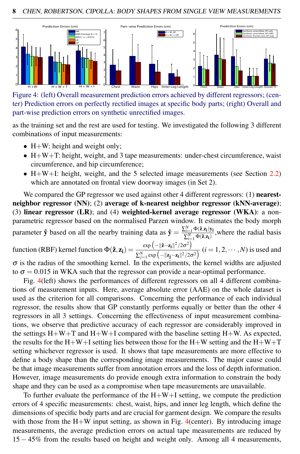

Figure 4: (left) Overall measurement prediction errors achieved by different regressors; (center) Prediction errors on perfectly rectified images at specific body parts; (right) Overall and part-wise prediction errors on synthetic unrectified images.

as the training set and the rest are used for testing. We investigated the following 3 different combinations of input measurements:

- H+W: height and weight only;
- H+W+T: height, weight, and 3 tape measurements: under-chest circumference, waist circumference, and hip circumference;
- $H+W+I$ : height, weight, and the 5 selected image measurements (see Section 2.2) which are annotated on frontal view doorway images (in Set 2).

We compared the GP regressor we used against other 4 different regressors: (1) **nearest**neighbor regressor (NN); (2) average of k-nearest neighbor regressor (kNN-average); (3) linear regressor (LR); and (4) weighted-kernel average regressor (WKA): a nonparametric regressor based on the normalised Parzen window. It estimates the body morph parameter  $\hat{y}$  based on all the nearby training data as  $\hat{y} = \frac{\sum_{i=1}^{N} \Phi(\hat{z}, z_i) y_i}{\sum_{i=1}^{N} \Phi(\hat{z}, z_i)}$  $\sum_{i=1}^{N} \Phi(\hat{z}, z_i)$ , where the radial basis

function (RBF) kernel function  $\Phi(\hat{z}, z_i) = \frac{\exp(-||\hat{z}-z_i||^2/2\sigma^2)}{\sum_{k=1}^{N} (||z-z_k||^2/2\sigma^2)}$  $\frac{\sum_{j=1}^{N} \exp(-\|\mathbf{z}_j - \mathbf{z}_j\|^2 / 2\sigma^2)}{2\sum_{j=1}^{N} \exp(-\|\mathbf{z}_j - \mathbf{z}_j\|^2 / 2\sigma^2)}$  (*i* = 1, 2, ···, *N*) is used and  $\sigma$  is the radius of the smoothing kernel. In the experiments, the kernel widths are adjusted

to  $\sigma = 0.015$  in WKA such that the regressor can provide a near-optimal performance.

Fig. 4(left) shows the performances of different regressors on all 4 different combinations of measurement inputs. Here, average absolute error (AAE) on the whole dataset is used as the criterion for all comparisons. Concerning the performance of each individual regressor, the results show that GP constantly performs equally or better than the other 4 regressors in all 3 settings. Concerning the effectiveness of input measurement combinations, we observe that predictive accuracy of each regressor are considerably improved in the settings  $H+W+T$  and  $H+W+I$  compared with the baseline setting  $H+W$ . As expected, the results for the H+W+I setting lies between those for the H+W setting and the H+W+T setting whichever regressor is used. It shows that tape measurements are more effective to define a body shape than the corresponding image measurements. The major cause could be that image measurements suffer from annotation errors and the loss of depth information. However, image measurements do provide enough extra information to constrain the body shape and they can be used as a compromise when tape measurements are unavailable.

To further evaluate the performance of the  $H+W+I$  setting, we compute the prediction errors of 4 specific measurements: chest, waist, hips, and inner leg length, which define the dimensions of specific body parts and are crucial for garment design. We compare the results with those from the  $H+W$  input setting, as shown in Fig. 4(center). By introducing image measurements, the average prediction errors on actual tape measurements are reduced by 15 − 45% from the results based on height and weight only. Among all 4 measurements,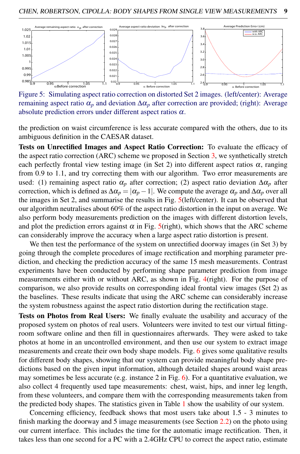

Figure 5: Simulating aspect ratio correction on distorted Set 2 images. (left/center): Average remaining aspect ratio  $α<sub>p</sub>$  and deviation  $Δα<sub>p</sub>$  after correction are provided; (right): Average absolute prediction errors under different aspect ratios  $\alpha$ .

the prediction on waist circumference is less accurate compared with the others, due to its ambiguous definition in the CAESAR dataset.

Tests on Unrectified Images and Aspect Ratio Correction: To evaluate the efficacy of the aspect ratio correction (ARC) scheme we proposed in Section 3, we synthetically stretch each perfectly frontal view testing image (in Set 2) into different aspect ratios  $\alpha$ , ranging from 0.9 to 1.1, and try correcting them with our algorithm. Two error measurements are used: (1) remaining aspect ratio  $\alpha_p$  after correction; (2) aspect ratio deviation  $\Delta \alpha_p$  after correction, which is defined as  $\Delta \alpha_p = |\alpha_p - 1|$ . We compute the average  $\alpha_p$  and  $\Delta \alpha_p$  over all the images in Set 2, and summarise the results in Fig. 5(left/center). It can be observed that our algorithm neutralises about 60% of the aspect ratio distortion in the input on average. We also perform body measurements prediction on the images with different distortion levels, and plot the prediction errors against  $\alpha$  in Fig. 5(right), which shows that the ARC scheme can considerably improve the accuracy when a large aspect ratio distortion is present.

We then test the performance of the system on unrectified doorway images (in Set 3) by going through the complete procedures of image rectification and morphing parameter prediction, and checking the prediction accuracy of the same 15 mesh measurements. Contrast experiments have been conducted by performing shape parameter prediction from image measurements either with or without ARC, as shown in Fig. 4(right). For the purpose of comparison, we also provide results on corresponding ideal frontal view images (Set 2) as the baselines. These results indicate that using the ARC scheme can considerably increase the system robustness against the aspect ratio distortion during the rectification stage.

Tests on Photos from Real Users: We finally evaluate the usability and accuracy of the proposed system on photos of real users. Volunteers were invited to test our virtual fittingroom software online and then fill in questionnaires afterwards. They were asked to take photos at home in an uncontrolled environment, and then use our system to extract image measurements and create their own body shape models. Fig. 6 gives some qualitative results for different body shapes, showing that our system can provide meaningful body shape predictions based on the given input information, although detailed shapes around waist areas may sometimes be less accurate (e.g. instance 2 in Fig.  $6$ ). For a quantitative evaluation, we also collect 4 frequently used tape measurements: chest, waist, hips, and inner leg length, from these volunteers, and compare them with the corresponding measurements taken from the predicted body shapes. The statistics given in Table 1 show the usability of our system.

Concerning efficiency, feedback shows that most users take about 1.5 - 3 minutes to finish marking the doorway and 5 image measurements (see Section 2.2) on the photo using our current interface. This includes the time for the automatic image rectification. Then, it takes less than one second for a PC with a 2.4GHz CPU to correct the aspect ratio, estimate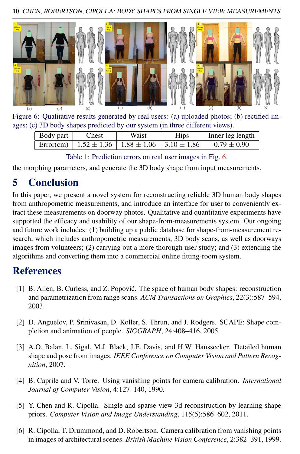10 CHEN, ROBERTSON, CIPOLLA: BODY SHAPES FROM SINGLE VIEW MEASUREMENTS



Figure 6: Qualitative results generated by real users: (a) uploaded photos; (b) rectified images; (c) 3D body shapes predicted by our system (in three different views).

| Body part | Chest                                                           | Waist | <b>Hips</b> | Inner leg length |
|-----------|-----------------------------------------------------------------|-------|-------------|------------------|
|           | Error(cm)   $1.52 \pm 1.36$   $1.88 \pm 1.06$   $3.10 \pm 1.86$ |       |             | $0.79 \pm 0.90$  |

Table 1: Prediction errors on real user images in Fig. 6.

the morphing parameters, and generate the 3D body shape from input measurements.

# 5 Conclusion

In this paper, we present a novel system for reconstructing reliable 3D human body shapes from anthropometric measurements, and introduce an interface for user to conveniently extract these measurements on doorway photos. Qualitative and quantitative experiments have supported the efficacy and usability of our shape-from-measurements system. Our ongoing and future work includes: (1) building up a public database for shape-from-measurement research, which includes anthropometric measurements, 3D body scans, as well as doorways images from volunteers; (2) carrying out a more thorough user study; and (3) extending the algorithms and converting them into a commercial online fitting-room system.

## **References**

- [1] B. Allen, B. Curless, and Z. Popovic. The space of human body shapes: reconstruction ´ and parametrization from range scans. *ACM Transactions on Graphics*, 22(3):587–594, 2003.
- [2] D. Anguelov, P. Srinivasan, D. Koller, S. Thrun, and J. Rodgers. SCAPE: Shape completion and animation of people. *SIGGRAPH*, 24:408–416, 2005.
- [3] A.O. Balan, L. Sigal, M.J. Black, J.E. Davis, and H.W. Haussecker. Detailed human shape and pose from images. *IEEE Conference on Computer Vision and Pattern Recognition*, 2007.
- [4] B. Caprile and V. Torre. Using vanishing points for camera calibration. *International Journal of Computer Vision*, 4:127–140, 1990.
- [5] Y. Chen and R. Cipolla. Single and sparse view 3d reconstruction by learning shape priors. *Computer Vision and Image Understanding*, 115(5):586–602, 2011.
- [6] R. Cipolla, T. Drummond, and D. Robertson. Camera calibration from vanishing points in images of architectural scenes. *British Machine Vision Conference*, 2:382–391, 1999.